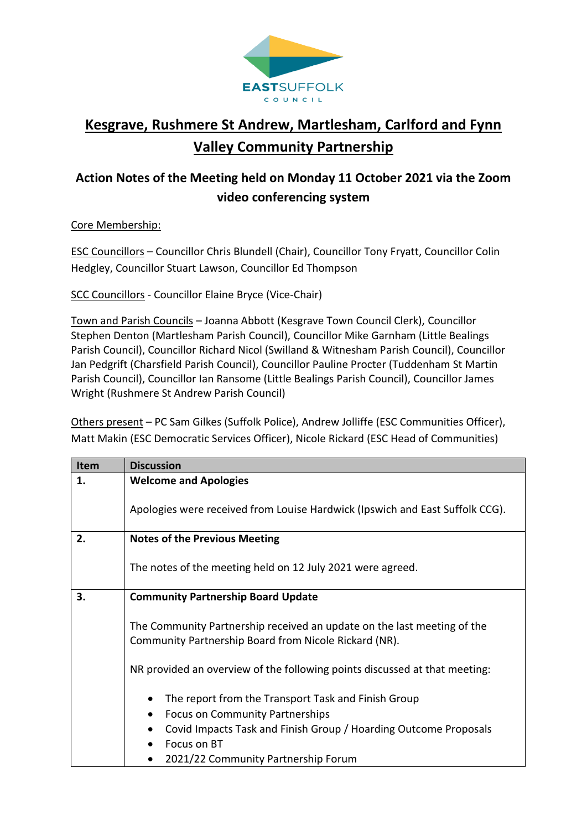

## **Kesgrave, Rushmere St Andrew, Martlesham, Carlford and Fynn Valley Community Partnership**

## **Action Notes of the Meeting held on Monday 11 October 2021 via the Zoom video conferencing system**

## Core Membership:

ESC Councillors – Councillor Chris Blundell (Chair), Councillor Tony Fryatt, Councillor Colin Hedgley, Councillor Stuart Lawson, Councillor Ed Thompson

SCC Councillors - Councillor Elaine Bryce (Vice-Chair)

Town and Parish Councils – Joanna Abbott (Kesgrave Town Council Clerk), Councillor Stephen Denton (Martlesham Parish Council), Councillor Mike Garnham (Little Bealings Parish Council), Councillor Richard Nicol (Swilland & Witnesham Parish Council), Councillor Jan Pedgrift (Charsfield Parish Council), Councillor Pauline Procter (Tuddenham St Martin Parish Council), Councillor Ian Ransome (Little Bealings Parish Council), Councillor James Wright (Rushmere St Andrew Parish Council)

Others present – PC Sam Gilkes (Suffolk Police), Andrew Jolliffe (ESC Communities Officer), Matt Makin (ESC Democratic Services Officer), Nicole Rickard (ESC Head of Communities)

| <b>Item</b> | <b>Discussion</b>                                                                                                                                                                                                                                 |
|-------------|---------------------------------------------------------------------------------------------------------------------------------------------------------------------------------------------------------------------------------------------------|
| 1.          | <b>Welcome and Apologies</b>                                                                                                                                                                                                                      |
|             | Apologies were received from Louise Hardwick (Ipswich and East Suffolk CCG).                                                                                                                                                                      |
| 2.          | <b>Notes of the Previous Meeting</b>                                                                                                                                                                                                              |
|             | The notes of the meeting held on 12 July 2021 were agreed.                                                                                                                                                                                        |
| 3.          | <b>Community Partnership Board Update</b>                                                                                                                                                                                                         |
|             | The Community Partnership received an update on the last meeting of the<br>Community Partnership Board from Nicole Rickard (NR).                                                                                                                  |
|             | NR provided an overview of the following points discussed at that meeting:                                                                                                                                                                        |
|             | The report from the Transport Task and Finish Group<br>$\bullet$<br><b>Focus on Community Partnerships</b><br>$\bullet$<br>Covid Impacts Task and Finish Group / Hoarding Outcome Proposals<br>Focus on BT<br>2021/22 Community Partnership Forum |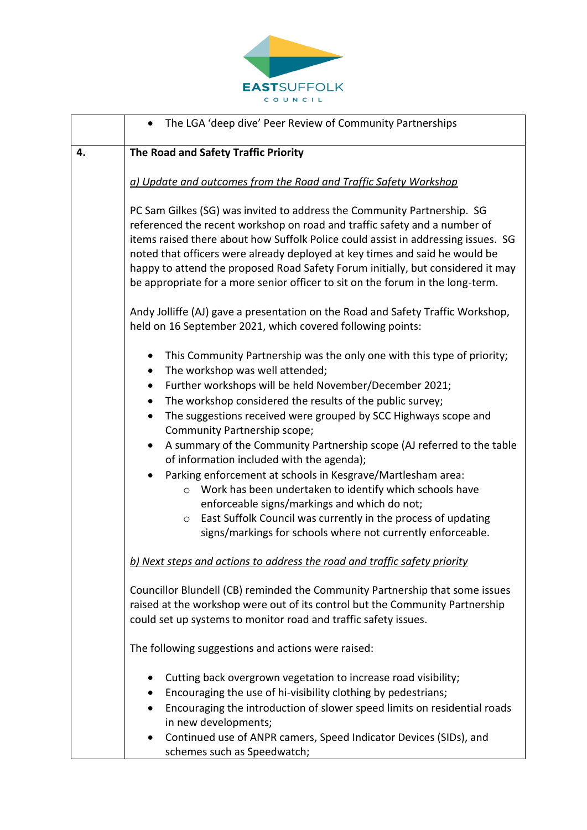

|    | The LGA 'deep dive' Peer Review of Community Partnerships                                                                                                                                                                                                                                                                                                                                                                                                                                                                                                                                                                                                                                                                                                                                                           |
|----|---------------------------------------------------------------------------------------------------------------------------------------------------------------------------------------------------------------------------------------------------------------------------------------------------------------------------------------------------------------------------------------------------------------------------------------------------------------------------------------------------------------------------------------------------------------------------------------------------------------------------------------------------------------------------------------------------------------------------------------------------------------------------------------------------------------------|
| 4. | The Road and Safety Traffic Priority                                                                                                                                                                                                                                                                                                                                                                                                                                                                                                                                                                                                                                                                                                                                                                                |
|    | a) Update and outcomes from the Road and Traffic Safety Workshop                                                                                                                                                                                                                                                                                                                                                                                                                                                                                                                                                                                                                                                                                                                                                    |
|    | PC Sam Gilkes (SG) was invited to address the Community Partnership. SG<br>referenced the recent workshop on road and traffic safety and a number of<br>items raised there about how Suffolk Police could assist in addressing issues. SG<br>noted that officers were already deployed at key times and said he would be<br>happy to attend the proposed Road Safety Forum initially, but considered it may<br>be appropriate for a more senior officer to sit on the forum in the long-term.                                                                                                                                                                                                                                                                                                                       |
|    | Andy Jolliffe (AJ) gave a presentation on the Road and Safety Traffic Workshop,<br>held on 16 September 2021, which covered following points:                                                                                                                                                                                                                                                                                                                                                                                                                                                                                                                                                                                                                                                                       |
|    | This Community Partnership was the only one with this type of priority;<br>٠<br>The workshop was well attended;<br>٠<br>Further workshops will be held November/December 2021;<br>٠<br>The workshop considered the results of the public survey;<br>٠<br>The suggestions received were grouped by SCC Highways scope and<br>$\bullet$<br>Community Partnership scope;<br>A summary of the Community Partnership scope (AJ referred to the table<br>of information included with the agenda);<br>Parking enforcement at schools in Kesgrave/Martlesham area:<br>○ Work has been undertaken to identify which schools have<br>enforceable signs/markings and which do not;<br>East Suffolk Council was currently in the process of updating<br>$\circ$<br>signs/markings for schools where not currently enforceable. |
|    | b) Next steps and actions to address the road and traffic safety priority                                                                                                                                                                                                                                                                                                                                                                                                                                                                                                                                                                                                                                                                                                                                           |
|    | Councillor Blundell (CB) reminded the Community Partnership that some issues<br>raised at the workshop were out of its control but the Community Partnership<br>could set up systems to monitor road and traffic safety issues.                                                                                                                                                                                                                                                                                                                                                                                                                                                                                                                                                                                     |
|    | The following suggestions and actions were raised:                                                                                                                                                                                                                                                                                                                                                                                                                                                                                                                                                                                                                                                                                                                                                                  |
|    | Cutting back overgrown vegetation to increase road visibility;<br>Encouraging the use of hi-visibility clothing by pedestrians;<br>Encouraging the introduction of slower speed limits on residential roads<br>in new developments;<br>Continued use of ANPR camers, Speed Indicator Devices (SIDs), and                                                                                                                                                                                                                                                                                                                                                                                                                                                                                                            |
|    | schemes such as Speedwatch;                                                                                                                                                                                                                                                                                                                                                                                                                                                                                                                                                                                                                                                                                                                                                                                         |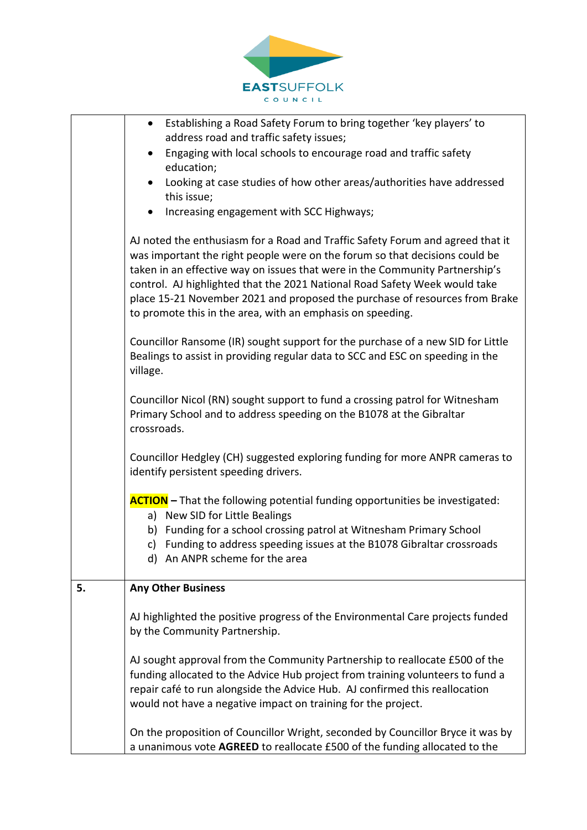

|    | Establishing a Road Safety Forum to bring together 'key players' to<br>$\bullet$                                                                                                                                                                                                                                                                                                                                                                                         |
|----|--------------------------------------------------------------------------------------------------------------------------------------------------------------------------------------------------------------------------------------------------------------------------------------------------------------------------------------------------------------------------------------------------------------------------------------------------------------------------|
|    | address road and traffic safety issues;<br>Engaging with local schools to encourage road and traffic safety<br>$\bullet$                                                                                                                                                                                                                                                                                                                                                 |
|    | education;                                                                                                                                                                                                                                                                                                                                                                                                                                                               |
|    | Looking at case studies of how other areas/authorities have addressed<br>$\bullet$                                                                                                                                                                                                                                                                                                                                                                                       |
|    | this issue;                                                                                                                                                                                                                                                                                                                                                                                                                                                              |
|    | Increasing engagement with SCC Highways;                                                                                                                                                                                                                                                                                                                                                                                                                                 |
|    | AJ noted the enthusiasm for a Road and Traffic Safety Forum and agreed that it<br>was important the right people were on the forum so that decisions could be<br>taken in an effective way on issues that were in the Community Partnership's<br>control. AJ highlighted that the 2021 National Road Safety Week would take<br>place 15-21 November 2021 and proposed the purchase of resources from Brake<br>to promote this in the area, with an emphasis on speeding. |
|    | Councillor Ransome (IR) sought support for the purchase of a new SID for Little<br>Bealings to assist in providing regular data to SCC and ESC on speeding in the<br>village.                                                                                                                                                                                                                                                                                            |
|    | Councillor Nicol (RN) sought support to fund a crossing patrol for Witnesham<br>Primary School and to address speeding on the B1078 at the Gibraltar<br>crossroads.                                                                                                                                                                                                                                                                                                      |
|    | Councillor Hedgley (CH) suggested exploring funding for more ANPR cameras to<br>identify persistent speeding drivers.                                                                                                                                                                                                                                                                                                                                                    |
|    | <b>ACTION</b> – That the following potential funding opportunities be investigated:<br>a) New SID for Little Bealings                                                                                                                                                                                                                                                                                                                                                    |
|    | b) Funding for a school crossing patrol at Witnesham Primary School                                                                                                                                                                                                                                                                                                                                                                                                      |
|    | c) Funding to address speeding issues at the B1078 Gibraltar crossroads<br>d) An ANPR scheme for the area                                                                                                                                                                                                                                                                                                                                                                |
| 5. | <b>Any Other Business</b>                                                                                                                                                                                                                                                                                                                                                                                                                                                |
|    | AJ highlighted the positive progress of the Environmental Care projects funded<br>by the Community Partnership.                                                                                                                                                                                                                                                                                                                                                          |
|    | AJ sought approval from the Community Partnership to reallocate £500 of the<br>funding allocated to the Advice Hub project from training volunteers to fund a<br>repair café to run alongside the Advice Hub. AJ confirmed this reallocation<br>would not have a negative impact on training for the project.                                                                                                                                                            |
|    | On the proposition of Councillor Wright, seconded by Councillor Bryce it was by<br>a unanimous vote AGREED to reallocate £500 of the funding allocated to the                                                                                                                                                                                                                                                                                                            |